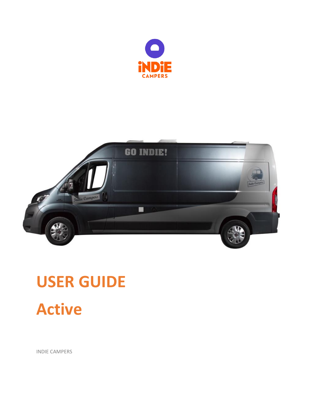



# **USER GUIDE Active**

INDIE CAMPERS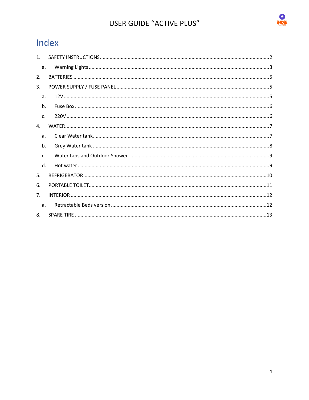

# Index

| 1 <sup>1</sup> |  |
|----------------|--|
| a.             |  |
| 2.             |  |
| $\mathbf{3}$ . |  |
| a.             |  |
| b.             |  |
| $\mathsf{C}$ . |  |
| $\mathbf{4}$ . |  |
| a.             |  |
| b.             |  |
| C <sub>1</sub> |  |
| $\mathsf{d}$ . |  |
| 5.             |  |
| 6.             |  |
| 7 <sub>1</sub> |  |
| a <sub>z</sub> |  |
| 8.             |  |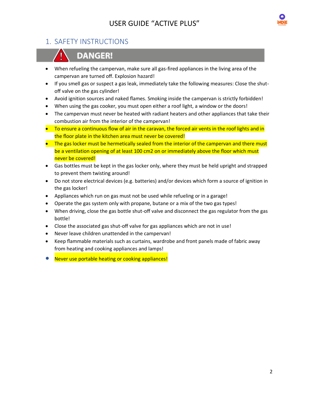

# <span id="page-2-0"></span>1. SAFETY INSTRUCTIONS



# **DANGER!**

- When refueling the campervan, make sure all gas-fired appliances in the living area of the campervan are turned off. Explosion hazard!
- If you smell gas or suspect a gas leak, immediately take the following measures: Close the shutoff valve on the gas cylinder!
- Avoid ignition sources and naked flames. Smoking inside the campervan is strictly forbidden!
- When using the gas cooker, you must open either a roof light, a window or the doors!
- The campervan must never be heated with radiant heaters and other appliances that take their combustion air from the interior of the campervan!
- To ensure a continuous flow of air in the caravan, the forced air vents in the roof lights and in the floor plate in the kitchen area must never be covered!
- The gas locker must be hermetically sealed from the interior of the campervan and there must be a ventilation opening of at least 100 cm2 on or immediately above the floor which must never be covered!
- Gas bottles must be kept in the gas locker only, where they must be held upright and strapped to prevent them twisting around!
- Do not store electrical devices (e.g. batteries) and/or devices which form a source of ignition in the gas locker!
- Appliances which run on gas must not be used while refueling or in a garage!
- Operate the gas system only with propane, butane or a mix of the two gas types!
- When driving, close the gas bottle shut-off valve and disconnect the gas regulator from the gas bottle!
- Close the associated gas shut-off valve for gas appliances which are not in use!
- Never leave children unattended in the campervan!
- Keep flammable materials such as curtains, wardrobe and front panels made of fabric away from heating and cooking appliances and lamps!
- Never use portable heating or cooking appliances!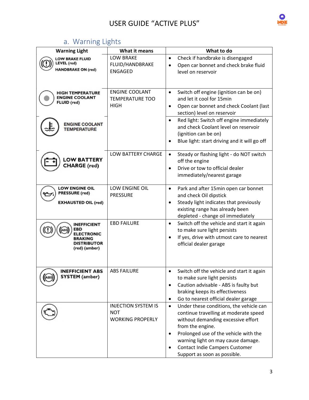

# a. Warning Lights

<span id="page-3-0"></span>

| <b>Warning Light</b>                              | What it means                                   | What to do                                                                                          |
|---------------------------------------------------|-------------------------------------------------|-----------------------------------------------------------------------------------------------------|
| <b>LOW BRAKE FLUID</b><br><b>LEVEL (red)</b>      | <b>LOW BRAKE</b><br>FLUID/HANDBRAKE             | Check if handbrake is disengaged<br>$\bullet$<br>Open car bonnet and check brake fluid<br>$\bullet$ |
| <b>HANDBRAKE ON (red)</b>                         | <b>ENGAGED</b>                                  | level on reservoir                                                                                  |
|                                                   |                                                 |                                                                                                     |
| <b>HIGH TEMPERATURE</b><br><b>ENGINE COOLANT</b>  | <b>ENGINE COOLANT</b><br><b>TEMPERATURE TOO</b> | Switch off engine (ignition can be on)<br>$\bullet$<br>and let it cool for 15min                    |
| FLUID (red)                                       | <b>HIGH</b>                                     | Open car bonnet and check Coolant (last<br>$\bullet$<br>section) level on reservoir                 |
| <b>ENGINE COOLANT</b>                             |                                                 | Red light: Switch off engine immediately<br>$\bullet$                                               |
| <b>TEMPERATURE</b>                                |                                                 | and check Coolant level on reservoir<br>(ignition can be on)                                        |
|                                                   |                                                 | Blue light: start driving and it will go off<br>٠                                                   |
| <b>LOW BATTERY</b>                                | LOW BATTERY CHARGE                              | Steady or flashing light - do NOT switch<br>$\bullet$                                               |
| <b>CHARGE</b> (red)                               |                                                 | off the engine<br>Drive or tow to official dealer<br>$\bullet$                                      |
|                                                   |                                                 | immediately/nearest garage                                                                          |
| <b>LOW ENGINE OIL</b><br><b>PRESSURE</b> (red)    | LOW ENGINE OIL<br><b>PRESSURE</b>               | Park and after 15min open car bonnet<br>$\bullet$                                                   |
| <b>EXHAUSTED OIL (red)</b>                        |                                                 | and check Oil dipstick<br>Steady light indicates that previously<br>$\bullet$                       |
|                                                   |                                                 | existing range has already been<br>depleted - change oil immediately                                |
| <b>INEFFICIENT</b>                                | <b>EBD FAILURE</b>                              | Switch off the vehicle and start it again<br>$\bullet$                                              |
| <b>EBD</b><br><b>ELECTRONIC</b><br><b>BRAKING</b> |                                                 | to make sure light persists<br>If yes, drive with utmost care to nearest<br>$\bullet$               |
| <b>DISTRIBUTOR</b><br>(red) (amber)               |                                                 | official dealer garage                                                                              |
|                                                   |                                                 |                                                                                                     |
| <b>INEFFICIENT ABS</b>                            | ABS FAILURE                                     | Switch off the vehicle and start it again                                                           |
| <b>SYSTEM</b> (amber)                             |                                                 | to make sure light persists<br>Caution advisable - ABS is faulty but<br>٠                           |
|                                                   |                                                 | braking keeps its effectiveness                                                                     |
|                                                   |                                                 | Go to nearest official dealer garage<br>$\bullet$                                                   |
|                                                   | <b>INJECTION SYSTEM IS</b><br><b>NOT</b>        | Under these conditions, the vehicle can<br>$\bullet$<br>continue travelling at moderate speed       |
|                                                   | <b>WORKING PROPERLY</b>                         | without demanding excessive effort                                                                  |
|                                                   |                                                 | from the engine.<br>Prolonged use of the vehicle with the<br>٠                                      |
|                                                   |                                                 | warning light on may cause damage.                                                                  |
|                                                   |                                                 | <b>Contact Indie Campers Customer</b>                                                               |
|                                                   |                                                 | Support as soon as possible.                                                                        |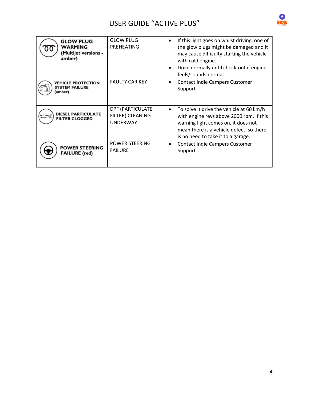

| <b>GLOW PLUG</b><br>WARMING<br>(Multijet versions -<br>amber) | <b>GLOW PLUG</b><br>PREHEATING                          | If this light goes on whilst driving, one of<br>$\bullet$<br>the glow plugs might be damaged and it<br>may cause difficulty starting the vehicle<br>with cold engine.<br>Drive normally until check-out if engine<br>feels/sounds normal |
|---------------------------------------------------------------|---------------------------------------------------------|------------------------------------------------------------------------------------------------------------------------------------------------------------------------------------------------------------------------------------------|
| <b>VEHICLE PROTECTION</b><br><b>SYSTEM FAILURE</b><br>(amber) | <b>FAULTY CAR KEY</b>                                   | <b>Contact Indie Campers Customer</b><br>٠<br>Support.                                                                                                                                                                                   |
| <b>DIESEL PARTICULATE</b><br><b>FILTER CLOGGED</b>            | DPF (PARTICULATE<br>FILTER) CLEANING<br><b>UNDERWAY</b> | To solve it drive the vehicle at 60 km/h<br>$\bullet$<br>with engine revs above 2000 rpm. If this<br>warning light comes on, it does not<br>mean there is a vehicle defect, so there<br>is no need to take it to a garage.               |
| <b>POWER STEERING</b><br><b>FAILURE</b> (red)                 | POWER STEERING<br><b>FAILURE</b>                        | <b>Contact Indie Campers Customer</b><br>٠<br>Support.                                                                                                                                                                                   |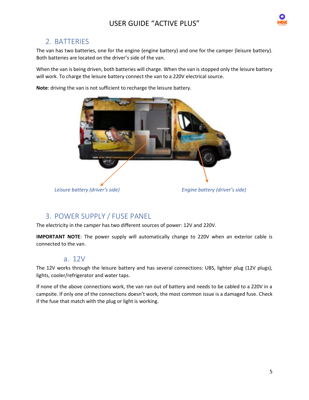

## <span id="page-5-0"></span>2. BATTERIES

The van has two batteries, one for the engine (engine battery) and one for the camper (leisure battery). Both batteries are located on the driver's side of the van.

When the van is being driven, both batteries will charge. When the van is stopped only the leisure battery will work. To charge the leisure battery connect the van to a 220V electrical source.

**Note**: driving the van is not sufficient to recharge the leisure battery.



## <span id="page-5-1"></span>3. POWER SUPPLY / FUSE PANEL

The electricity in the camper has two different sources of power: 12V and 220V.

**IMPORTANT NOTE**: The power supply will automatically change to 220V when an exterior cable is connected to the van.

## a. 12V

<span id="page-5-2"></span>The 12V works through the leisure battery and has several connections: UBS, lighter plug (12V plugs), lights, cooler/refrigerator and water taps.

If none of the above connections work, the van ran out of battery and needs to be cabled to a 220V in a campsite. If only one of the connections doesn't work, the most common issue is a damaged fuse. Check if the fuse that match with the plug or light is working.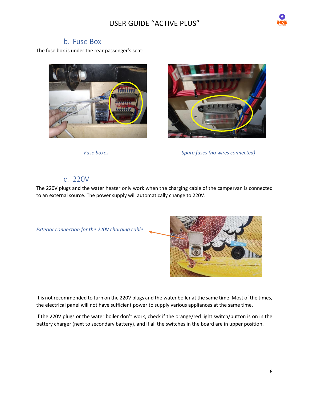

## b. Fuse Box

<span id="page-6-0"></span>The fuse box is under the rear passenger's seat:





*Fuse boxes Spare fuses (no wires connected)*

## c. 220V

<span id="page-6-1"></span>The 220V plugs and the water heater only work when the charging cable of the campervan is connected to an external source. The power supply will automatically change to 220V.



It is not recommended to turn on the 220V plugs and the water boiler at the same time. Most of the times, the electrical panel will not have sufficient power to supply various appliances at the same time.

If the 220V plugs or the water boiler don't work, check if the orange/red light switch/button is on in the battery charger (next to secondary battery), and if all the switches in the board are in upper position.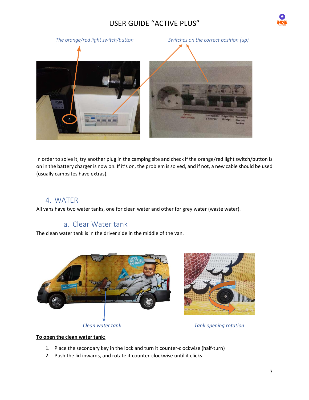



In order to solve it, try another plug in the camping site and check if the orange/red light switch/button is on in the battery charger is now on. If it's on, the problem is solved, and if not, a new cable should be used (usually campsites have extras).

## <span id="page-7-0"></span>4. WATER

<span id="page-7-1"></span>All vans have two water tanks, one for clean water and other for grey water (waste water).

# a. Clear Water tank

The clean water tank is in the driver side in the middle of the van.



#### **To open the clean water tank:**

- 1. Place the secondary key in the lock and turn it counter-clockwise (half-turn)
- 2. Push the lid inwards, and rotate it counter-clockwise until it clicks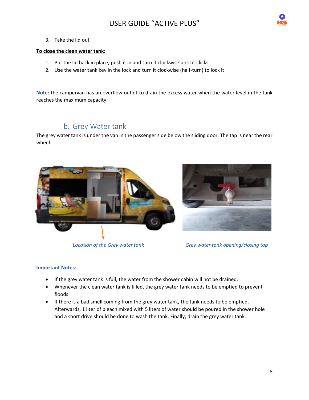

3. Take the lid out

#### **To close the clean water tank:**

- 1. Put the lid back in place, push it in and turn it clockwise until it clicks
- 2. Use the water tank key in the lock and turn it clockwise (half-turn) to lock it

**Note**: the campervan has an overflow outlet to drain the excess water when the water level in the tank reaches the maximum capacity.

# b. Grey Water tank

<span id="page-8-0"></span>The grey water tank is under the van in the passenger side below the sliding door. The tap is near the rear wheel.







*Location of the Grey water tank Grey water tank opening/closing tap*

#### **Important Notes**:

- If the grey water tank is full, the water from the shower cabin will not be drained.
- Whenever the clean water tank is filled, the grey water tank needs to be emptied to prevent floods.
- If there is a bad smell coming from the grey water tank, the tank needs to be emptied. Afterwards, 1 liter of bleach mixed with 5 liters of water should be poured in the shower hole and a short drive should be done to wash the tank. Finally, drain the grey water tank.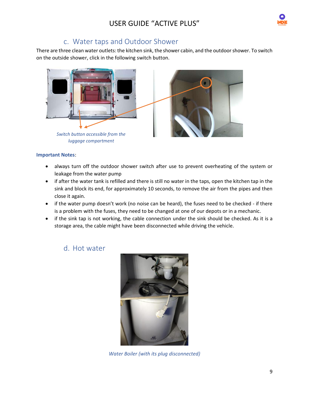

# c. Water taps and Outdoor Shower

<span id="page-9-0"></span>There are three clean water outlets: the kitchen sink, the shower cabin, and the outdoor shower. To switch on the outside shower, click in the following switch button.



#### **Important Notes**:

- always turn off the outdoor shower switch after use to prevent overheating of the system or leakage from the water pump
- if after the water tank is refilled and there is still no water in the taps, open the kitchen tap in the sink and block its end, for approximately 10 seconds, to remove the air from the pipes and then close it again.
- if the water pump doesn't work (no noise can be heard), the fuses need to be checked if there is a problem with the fuses, they need to be changed at one of our depots or in a mechanic.
- <span id="page-9-1"></span>• if the sink tap is not working, the cable connection under the sink should be checked. As it is a storage area, the cable might have been disconnected while driving the vehicle.

## d. Hot water



*Water Boiler (with its plug disconnected)*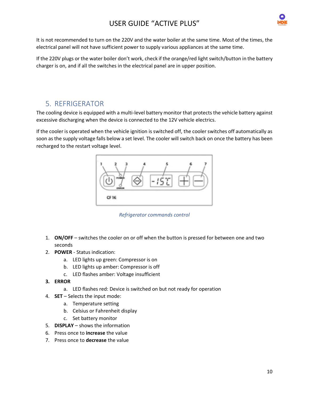

It is not recommended to turn on the 220V and the water boiler at the same time. Most of the times, the electrical panel will not have sufficient power to supply various appliances at the same time.

If the 220V plugs or the water boiler don't work, check if the orange/red light switch/button in the battery charger is on, and if all the switches in the electrical panel are in upper position.

## <span id="page-10-0"></span>5. REFRIGERATOR

The cooling device is equipped with a multi-level battery monitor that protects the vehicle battery against excessive discharging when the device is connected to the 12V vehicle electrics.

If the cooler is operated when the vehicle ignition is switched off, the cooler switches off automatically as soon as the supply voltage falls below a set level. The cooler will switch back on once the battery has been recharged to the restart voltage level.



*Refrigerator commands control*

- 1. **ON/OFF** switches the cooler on or off when the button is pressed for between one and two seconds
- 2. **POWER** Status indication:
	- a. LED lights up green: Compressor is on
	- b. LED lights up amber: Compressor is off
	- c. LED flashes amber: Voltage insufficient
- **3. ERROR**
	- a. LED flashes red: Device is switched on but not ready for operation
- 4. **SET** Selects the input mode:
	- a. Temperature setting
	- b. Celsius or Fahrenheit display
	- c. Set battery monitor
- 5. **DISPLAY** shows the information
- 6. Press once to **increase** the value
- 7. Press once to **decrease** the value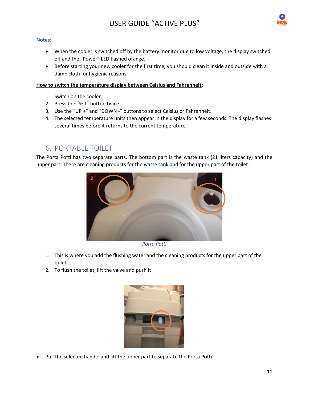

#### **Notes**:

- When the cooler is switched off by the battery monitor due to low voltage, the display switched off and the "Power" LED flashed orange.
- Before starting your new cooler for the first time, you should clean it inside and outside with a damp cloth for hygienic reasons.

#### **How to switch the temperature display between Celsius and Fahrenheit**:

- 1. Switch on the cooler.
- 2. Press the "SET" button twice.
- 3. Use the "UP +" and "DOWN -" buttons to select Celsius or Fahrenheit.
- 4. The selected temperature units then appear in the display for a few seconds. The display flashes several times before it returns to the current temperature.

# <span id="page-11-0"></span>6. PORTABLE TOILET

The Porta Potti has two separate parts. The bottom part is the waste tank (21 liters capacity) and the upper part. There are cleaning products for the waste tank and for the upper part of the toilet.



*Porta Potti*

- 1. This is where you add the flushing water and the cleaning products for the upper part of the toilet
- 2. To flush the toilet, lift the valve and push it



• Pull the selected handle and lift the upper part to separate the Porta Potti.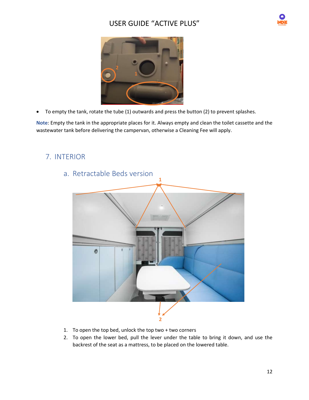



• To empty the tank, rotate the tube (1) outwards and press the button (2) to prevent splashes.

**Note**: Empty the tank in the appropriate places for it. Always empty and clean the toilet cassette and the wastewater tank before delivering the campervan, otherwise a Cleaning Fee will apply.

# <span id="page-12-1"></span><span id="page-12-0"></span>7. INTERIOR



a. Retractable Beds version

- 1. To open the top bed, unlock the top two + two corners
- 2. To open the lower bed, pull the lever under the table to bring it down, and use the backrest of the seat as a mattress, to be placed on the lowered table.